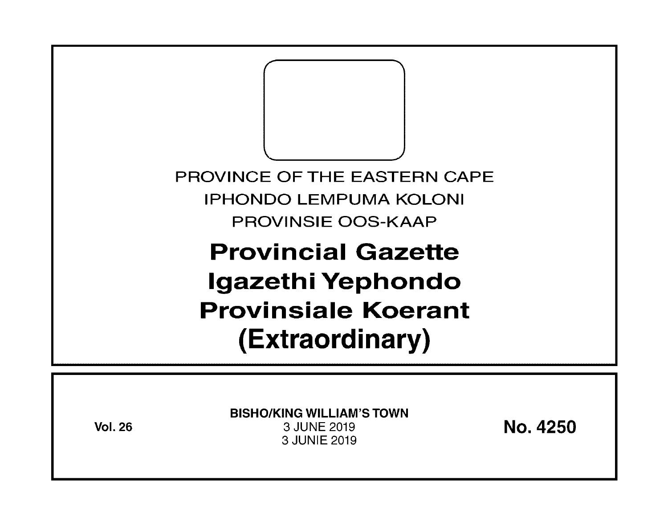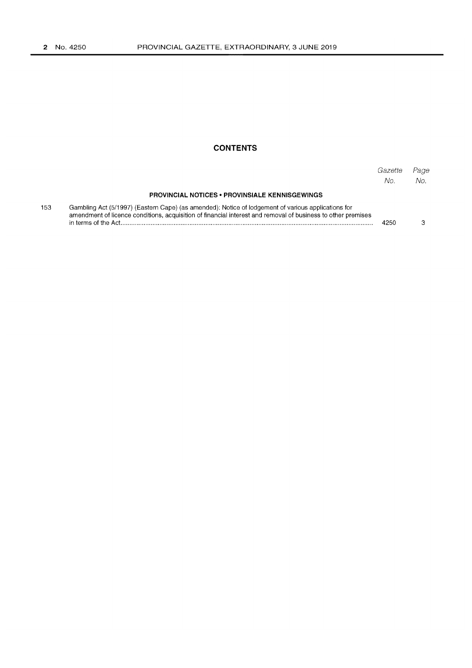153

## **CONTENTS**

|                                                                                                                                                                                                                    | Gazette<br>No. | Page<br>No. |
|--------------------------------------------------------------------------------------------------------------------------------------------------------------------------------------------------------------------|----------------|-------------|
| <b>PROVINCIAL NOTICES • PROVINSIALE KENNISGEWINGS</b>                                                                                                                                                              |                |             |
| Gambling Act (5/1997) (Eastern Cape) (as amended): Notice of lodgement of various applications for<br>amendment of licence conditions, acquisition of financial interest and removal of business to other premises | 4250           |             |